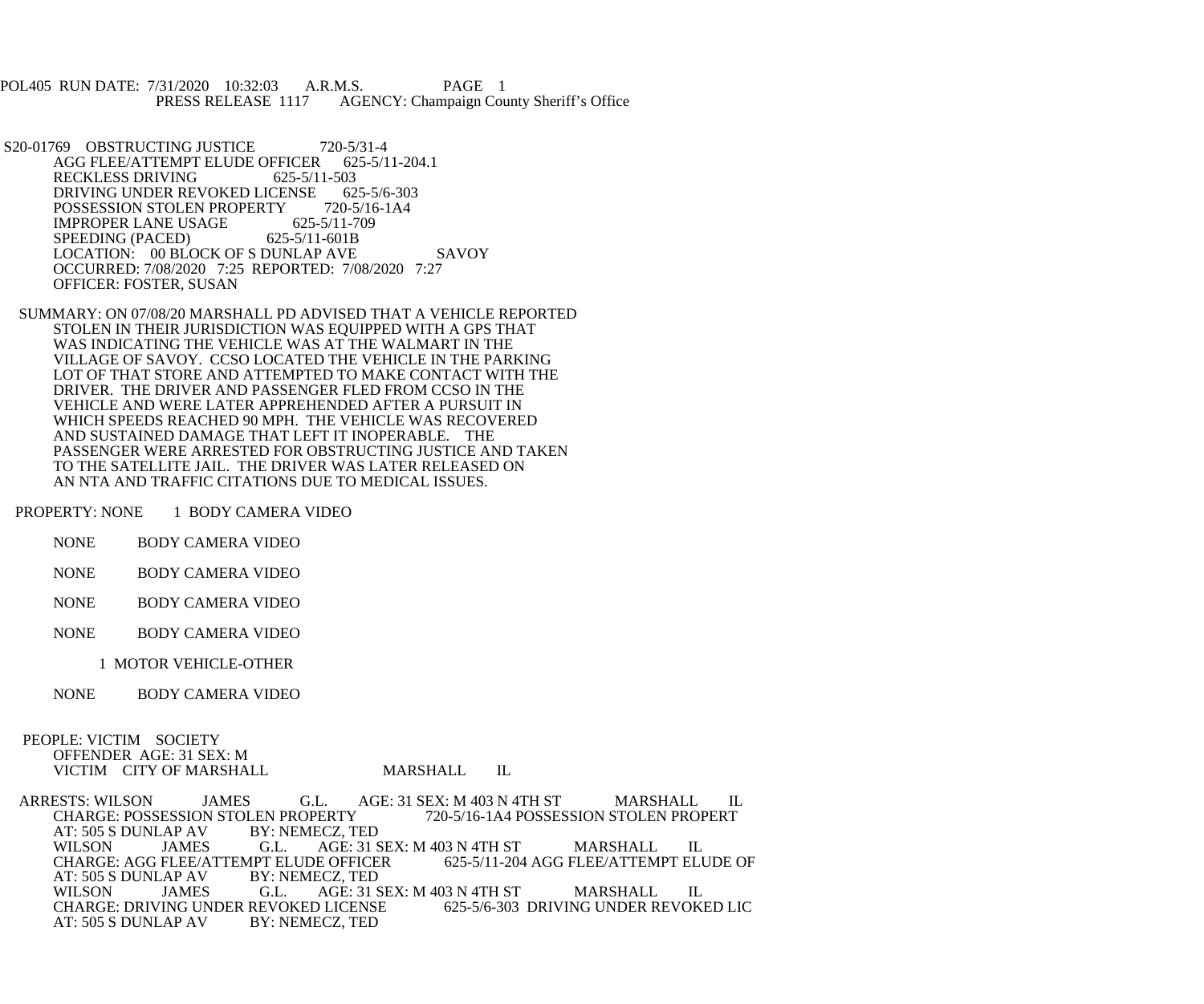POL405 RUN DATE: 7/31/2020 10:32:03 A.R.M.S. PAGE 1<br>PRESS RELEASE 1117 AGENCY: Champaign Cou AGENCY: Champaign County Sheriff's Office

S20-01769 OBSTRUCTING JUSTICE 720-5/31-4<br>AGG FLEE/ATTEMPT ELUDE OFFICER 625-5/11-204.1 AGG FLEE/ATTEMPT ELUDE OFFICER 62<br>RECKLESS DRIVING 625-5/11-503 RECKLESS DRIVING DRIVING UNDER REVOKED LICENSE 625-5/6-303<br>POSSESSION STOLEN PROPERTY 720-5/16-1A4 POSSESSION STOLEN PROPERTY 720-5/16<br>IMPROPER LANE USAGE 625-5/11-709 IMPROPER LANE USAGE 625-5/11-7<br>SPEEDING (PACED) 625-5/11-601B SPEEDING (PACED) LOCATION: 00 BLOCK OF S DUNLAP AVE SAVOY OCCURRED: 7/08/2020 7:25 REPORTED: 7/08/2020 7:27 OFFICER: FOSTER, SUSAN

 SUMMARY: ON 07/08/20 MARSHALL PD ADVISED THAT A VEHICLE REPORTED STOLEN IN THEIR JURISDICTION WAS EQUIPPED WITH A GPS THAT WAS INDICATING THE VEHICLE WAS AT THE WALMART IN THE VILLAGE OF SAVOY. CCSO LOCATED THE VEHICLE IN THE PARKING LOT OF THAT STORE AND ATTEMPTED TO MAKE CONTACT WITH THE DRIVER. THE DRIVER AND PASSENGER FLED FROM CCSO IN THE VEHICLE AND WERE LATER APPREHENDED AFTER A PURSUIT IN WHICH SPEEDS REACHED 90 MPH. THE VEHICLE WAS RECOVERED AND SUSTAINED DAMAGE THAT LEFT IT INOPERABLE. THE PASSENGER WERE ARRESTED FOR OBSTRUCTING JUSTICE AND TAKEN TO THE SATELLITE JAIL. THE DRIVER WAS LATER RELEASED ON AN NTA AND TRAFFIC CITATIONS DUE TO MEDICAL ISSUES.

PROPERTY: NONE 1 BODY CAMERA VIDEO

- NONE BODY CAMERA VIDEO
- NONE BODY CAMERA VIDEO
- NONE BODY CAMERA VIDEO
- NONE BODY CAMERA VIDEO
	- 1 MOTOR VEHICLE-OTHER
- NONE BODY CAMERA VIDEO

 PEOPLE: VICTIM SOCIETY OFFENDER AGE: 31 SEX: M VICTIM CITY OF MARSHALL MARSHALL IL

ARRESTS: WILSON JAMES G.L. AGE: 31 SEX: M 403 N 4TH ST MARSHALL IL CHARGE: POSSESSION STOLEN PROPERTY 720-5/16-1A4 POSSESSION STOLEN PROPERT LEN PROPERTY 720-5/16-1A4 POSSESSION STOLEN PROPERT<br>BY: NEMECZ, TED AT: 505 S DUNLAP AV WILSON JAMES G.L. AGE: 31 SEX: M 403 N 4TH ST MARSHALL IL<br>CHARGE: AGG FLEE/ATTEMPT ELUDE OFFICER 625-5/11-204 AGG FLEE/ATTEMPT ELUDE OF CHARGE: AGG FLEE/ATTEMPT ELUDE OFFICER<br>AT: 505 S DUNLAP AV BY: NEMECZ. TED AT: 505 S DUNLAP AV BY: N<br>WILSON JAMES G.L. AGE: 31 SEX: M 403 N 4TH ST MARSHALL IL<br>D LICENSE 625-5/6-303 DRIVING UNDER REVOKED LIC CHARGE: DRIVING UNDER REVOKED LICENSE<br>AT: 505 S DUNLAP AV BY: NEMECZ. TED AT: 505 S DUNLAP AV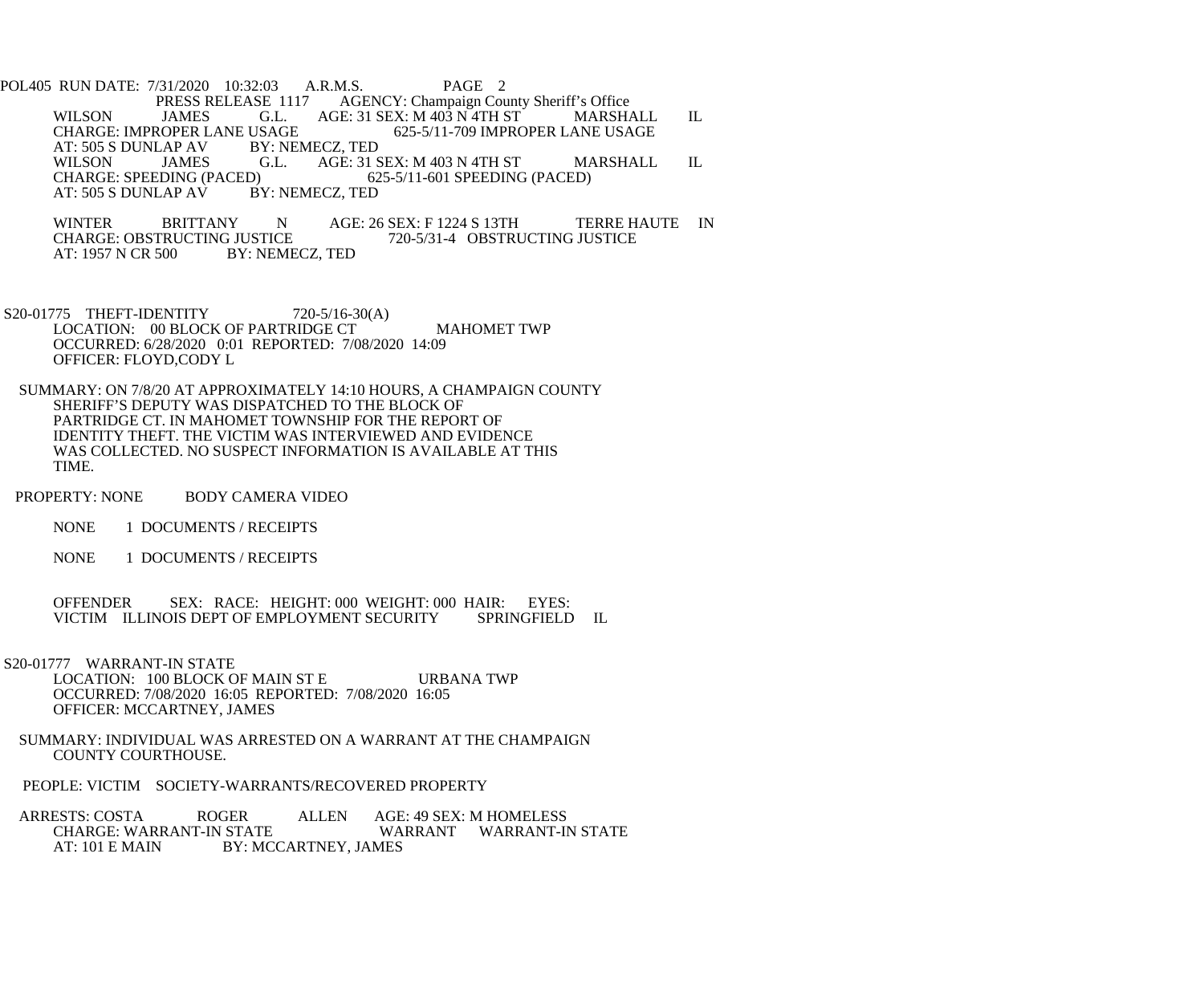POL405 RUN DATE: 7/31/2020 10:32:03 A.R.M.S. PAGE 2 PRESS RELEASE 1117 AGENCY: Champaign County Sheriff's Office<br>WILSON JAMES G.L. AGE: 31 SEX: M 403 N 4TH ST MARSH. WILSON JAMES G.L. AGE: 31 SEX: M 403 N 4TH ST MARSHALL IL CHARGE: IMPROPER LANE USAGE 625-5/11-709 IMPROPER LANE USAGE USAGE 625-5/11-709 IMPROPER LANE USAGE BY: NEMECZ, TED AT: 505 S DUNLAP AV BY: N.<br>WILSON JAMES G.L. WILSON JAMES G.L. AGE: 31 SEX: M 403 N 4TH ST MARSHALL IL<br>CHARGE: SPEEDING (PACED) 625-5/11-601 SPEEDING (PACED) D) 625-5/11-601 SPEEDING (PACED)<br>BY: NEMECZ, TED AT: 505 S DUNLAP AV

WINTER BRITTANY N AGE: 26 SEX: F 1224 S 13TH TERRE HAUTE IN CHARGE: OBSTRUCTING JUSTICE CHARGE: OBSTRUCTING JUSTICE 720-5/31-4 OBSTRUCTING JUSTICE<br>AT: 1957 N CR 500 BY: NEMECZ. TED BY: NEMECZ, TED

- S20-01775 THEFT-IDENTITY 720-5/16-30(A) LOCATION: 00 BLOCK OF PARTRIDGE CT MAHOMET TWP OCCURRED: 6/28/2020 0:01 REPORTED: 7/08/2020 14:09 OFFICER: FLOYD,CODY L
- SUMMARY: ON 7/8/20 AT APPROXIMATELY 14:10 HOURS, A CHAMPAIGN COUNTY SHERIFF'S DEPUTY WAS DISPATCHED TO THE BLOCK OF PARTRIDGE CT. IN MAHOMET TOWNSHIP FOR THE REPORT OF IDENTITY THEFT. THE VICTIM WAS INTERVIEWED AND EVIDENCE WAS COLLECTED. NO SUSPECT INFORMATION IS AVAILABLE AT THIS TIME.
- PROPERTY: NONE BODY CAMERA VIDEO
	- NONE 1 DOCUMENTS / RECEIPTS
	- NONE 1 DOCUMENTS / RECEIPTS

 OFFENDER SEX: RACE: HEIGHT: 000 WEIGHT: 000 HAIR: EYES: VICTIM ILLINOIS DEPT OF EMPLOYMENT SECURITY SPRINGFIELD IL

 S20-01777 WARRANT-IN STATE LOCATION: 100 BLOCK OF MAIN ST E URBANA TWP OCCURRED: 7/08/2020 16:05 REPORTED: 7/08/2020 16:05 OFFICER: MCCARTNEY, JAMES

- SUMMARY: INDIVIDUAL WAS ARRESTED ON A WARRANT AT THE CHAMPAIGN COUNTY COURTHOUSE.
- PEOPLE: VICTIM SOCIETY-WARRANTS/RECOVERED PROPERTY
- ARRESTS: COSTA ROGER ALLEN AGE: 49 SEX: M HOMELESS<br>CHARGE: WARRANT-IN STATE WARRANT WARRANT-II WARRANT WARRANT-IN STATE AT: 101 E MAIN BY: MCCARTNEY, JAMES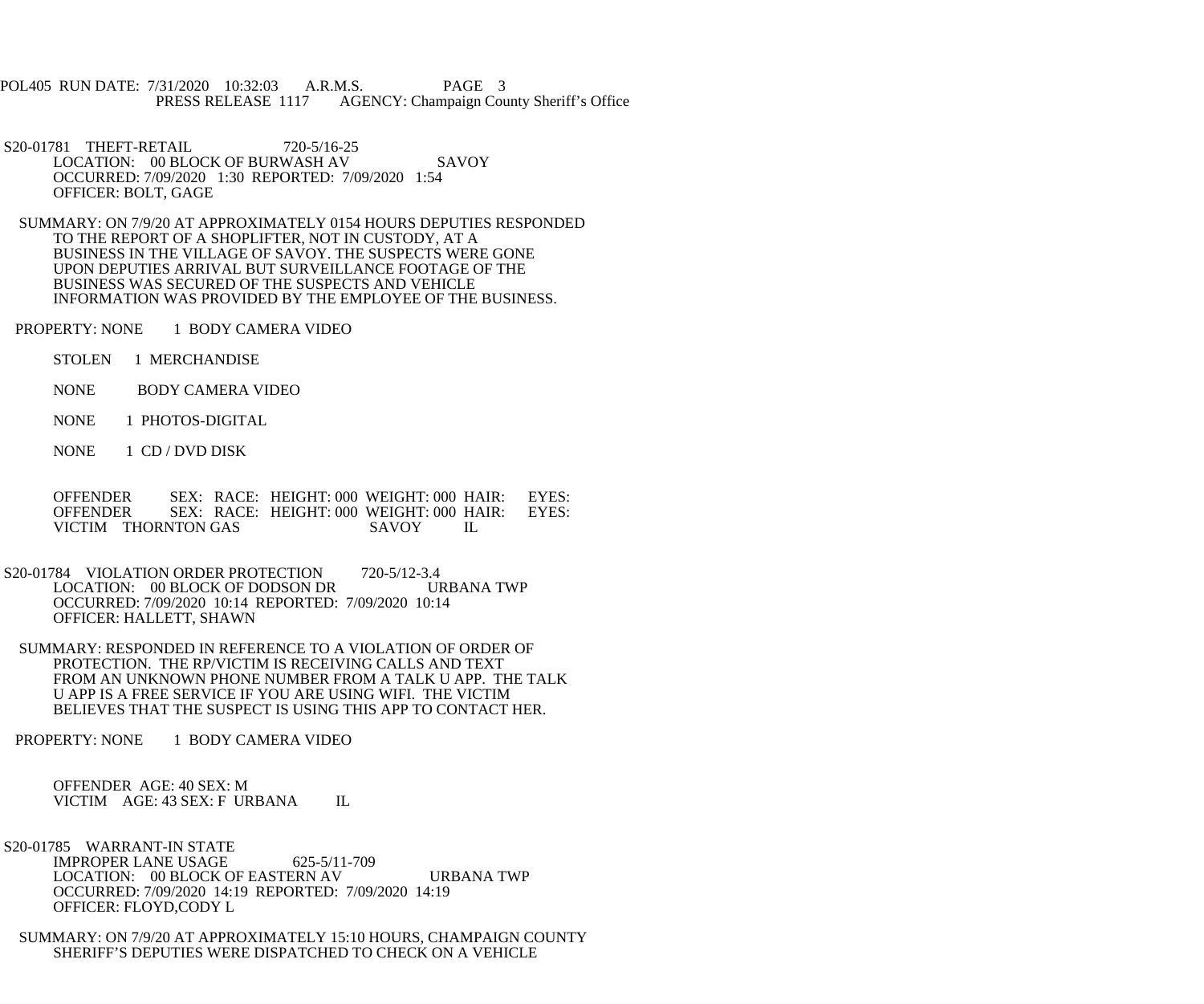POL405 RUN DATE: 7/31/2020 10:32:03 A.R.M.S. PAGE 3<br>PRESS RELEASE 1117 AGENCY: Champaign Cou AGENCY: Champaign County Sheriff's Office

S20-01781 THEFT-RETAIL 720-5/16-25 LOCATION: 00 BLOCK OF BURWASH AV SAVOY OCCURRED: 7/09/2020 1:30 REPORTED: 7/09/2020 1:54 OFFICER: BOLT, GAGE

 SUMMARY: ON 7/9/20 AT APPROXIMATELY 0154 HOURS DEPUTIES RESPONDED TO THE REPORT OF A SHOPLIFTER, NOT IN CUSTODY, AT A BUSINESS IN THE VILLAGE OF SAVOY. THE SUSPECTS WERE GONE UPON DEPUTIES ARRIVAL BUT SURVEILLANCE FOOTAGE OF THE BUSINESS WAS SECURED OF THE SUSPECTS AND VEHICLE INFORMATION WAS PROVIDED BY THE EMPLOYEE OF THE BUSINESS.

PROPERTY: NONE 1 BODY CAMERA VIDEO

STOLEN 1 MERCHANDISE

NONE BODY CAMERA VIDEO

NONE 1 PHOTOS-DIGITAL

NONE 1 CD / DVD DISK

 OFFENDER SEX: RACE: HEIGHT: 000 WEIGHT: 000 HAIR: EYES: OFFENDER SEX: RACE: HEIGHT: 000 WEIGHT: 000 HAIR: EYES:<br>VICTIM THORNTON GAS SAVOY IL VICTIM THORNTON GAS SAVOY IL

S20-01784 VIOLATION ORDER PROTECTION 720-5/12-3.4 LOCATION: 00 BLOCK OF DODSON DR URBANA TWP OCCURRED: 7/09/2020 10:14 REPORTED: 7/09/2020 10:14 OFFICER: HALLETT, SHAWN

 SUMMARY: RESPONDED IN REFERENCE TO A VIOLATION OF ORDER OF PROTECTION. THE RP/VICTIM IS RECEIVING CALLS AND TEXT FROM AN UNKNOWN PHONE NUMBER FROM A TALK U APP. THE TALK U APP IS A FREE SERVICE IF YOU ARE USING WIFI. THE VICTIM BELIEVES THAT THE SUSPECT IS USING THIS APP TO CONTACT HER.

PROPERTY: NONE 1 BODY CAMERA VIDEO

 OFFENDER AGE: 40 SEX: M VICTIM AGE: 43 SEX: F URBANA IL

S20-01785 WARRANT-IN STATE

 IMPROPER LANE USAGE 625-5/11-709 LOCATION: 00 BLOCK OF EASTERN AV URBANA TWP OCCURRED: 7/09/2020 14:19 REPORTED: 7/09/2020 14:19 OFFICER: FLOYD,CODY L

 SUMMARY: ON 7/9/20 AT APPROXIMATELY 15:10 HOURS, CHAMPAIGN COUNTY SHERIFF'S DEPUTIES WERE DISPATCHED TO CHECK ON A VEHICLE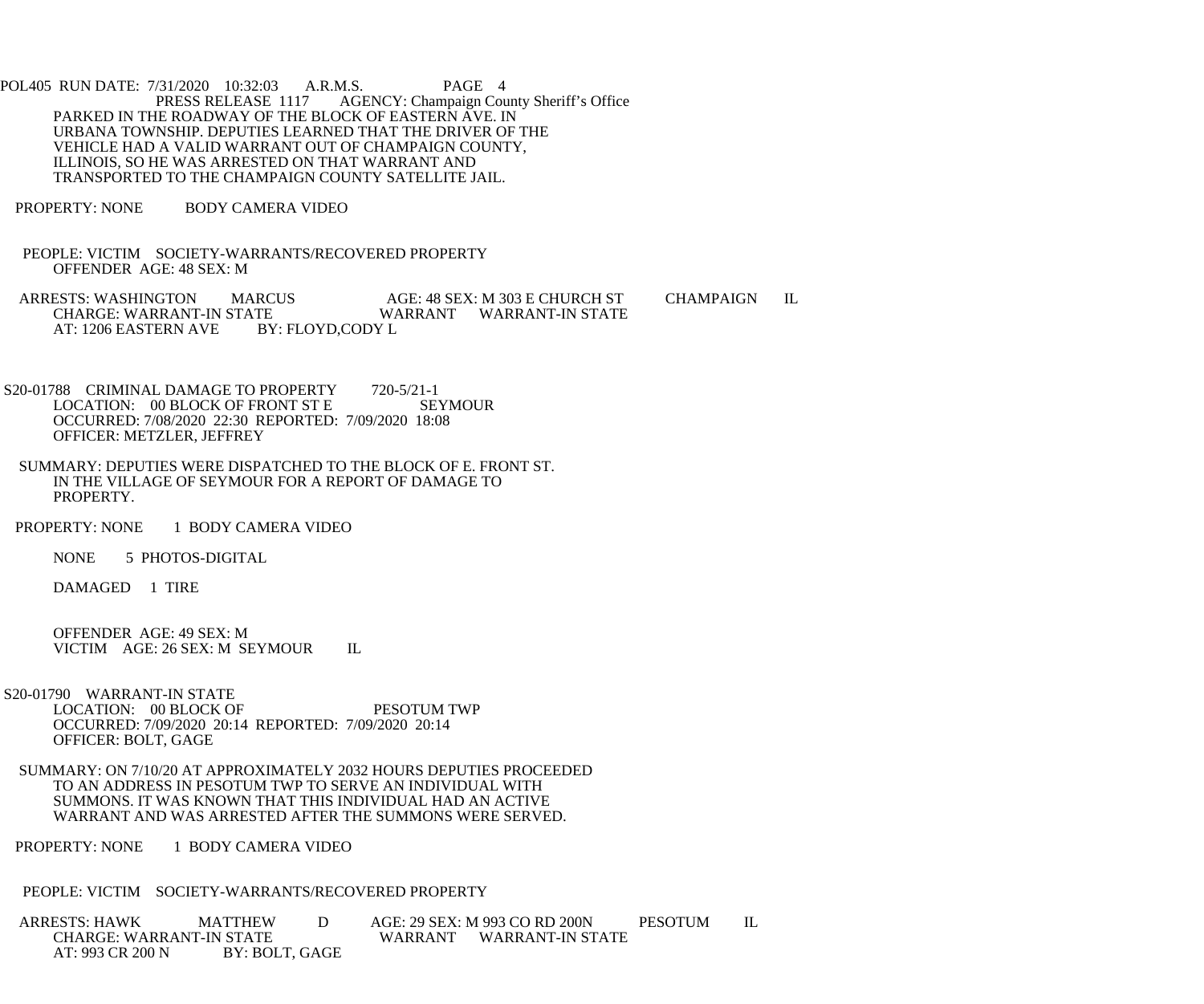POL405 RUN DATE: 7/31/2020 10:32:03 A.R.M.S. PAGE 4<br>PRESS RELEASE 1117 AGENCY: Champaign Cou AGENCY: Champaign County Sheriff's Office PARKED IN THE ROADWAY OF THE BLOCK OF EASTERN AVE. IN URBANA TOWNSHIP. DEPUTIES LEARNED THAT THE DRIVER OF THE VEHICLE HAD A VALID WARRANT OUT OF CHAMPAIGN COUNTY, ILLINOIS, SO HE WAS ARRESTED ON THAT WARRANT AND TRANSPORTED TO THE CHAMPAIGN COUNTY SATELLITE JAIL.

PROPERTY: NONE BODY CAMERA VIDEO

 PEOPLE: VICTIM SOCIETY-WARRANTS/RECOVERED PROPERTY OFFENDER AGE: 48 SEX: M

ARRESTS: WASHINGTON MARCUS AGE: 48 SEX: M 303 E CHURCH ST CHAMPAIGN IL<br>CHARGE: WARRANT-IN STATE WARRANT WARRANT-IN STATE CHARGE: WARRANT-IN STATE WARRANT WARRANT-IN STATE AT: 1206 EASTERN AVE

- S20-01788 CRIMINAL DAMAGE TO PROPERTY 720-5/21-1<br>LOCATION: 00 BLOCK OF FRONT ST E SEYMOUR LOCATION: 00 BLOCK OF FRONT ST E OCCURRED: 7/08/2020 22:30 REPORTED: 7/09/2020 18:08 OFFICER: METZLER, JEFFREY
- SUMMARY: DEPUTIES WERE DISPATCHED TO THE BLOCK OF E. FRONT ST. IN THE VILLAGE OF SEYMOUR FOR A REPORT OF DAMAGE TO PROPERTY.
- PROPERTY: NONE 1 BODY CAMERA VIDEO

NONE 5 PHOTOS-DIGITAL

DAMAGED 1 TIRE

 OFFENDER AGE: 49 SEX: M VICTIM AGE: 26 SEX: M SEYMOUR IL

- S20-01790 WARRANT-IN STATE LOCATION: 00 BLOCK OF PESOTUM TWP OCCURRED: 7/09/2020 20:14 REPORTED: 7/09/2020 20:14 OFFICER: BOLT, GAGE
- SUMMARY: ON 7/10/20 AT APPROXIMATELY 2032 HOURS DEPUTIES PROCEEDED TO AN ADDRESS IN PESOTUM TWP TO SERVE AN INDIVIDUAL WITH SUMMONS. IT WAS KNOWN THAT THIS INDIVIDUAL HAD AN ACTIVE WARRANT AND WAS ARRESTED AFTER THE SUMMONS WERE SERVED.

PROPERTY: NONE 1 BODY CAMERA VIDEO

PEOPLE: VICTIM SOCIETY-WARRANTS/RECOVERED PROPERTY

 ARRESTS: HAWK MATTHEW D AGE: 29 SEX: M 993 CO RD 200N PESOTUM IL EXAMPLE FOR STATE WARRANT WARRANT-IN STATE BY: BOLT, GAGE AT: 993 CR 200 N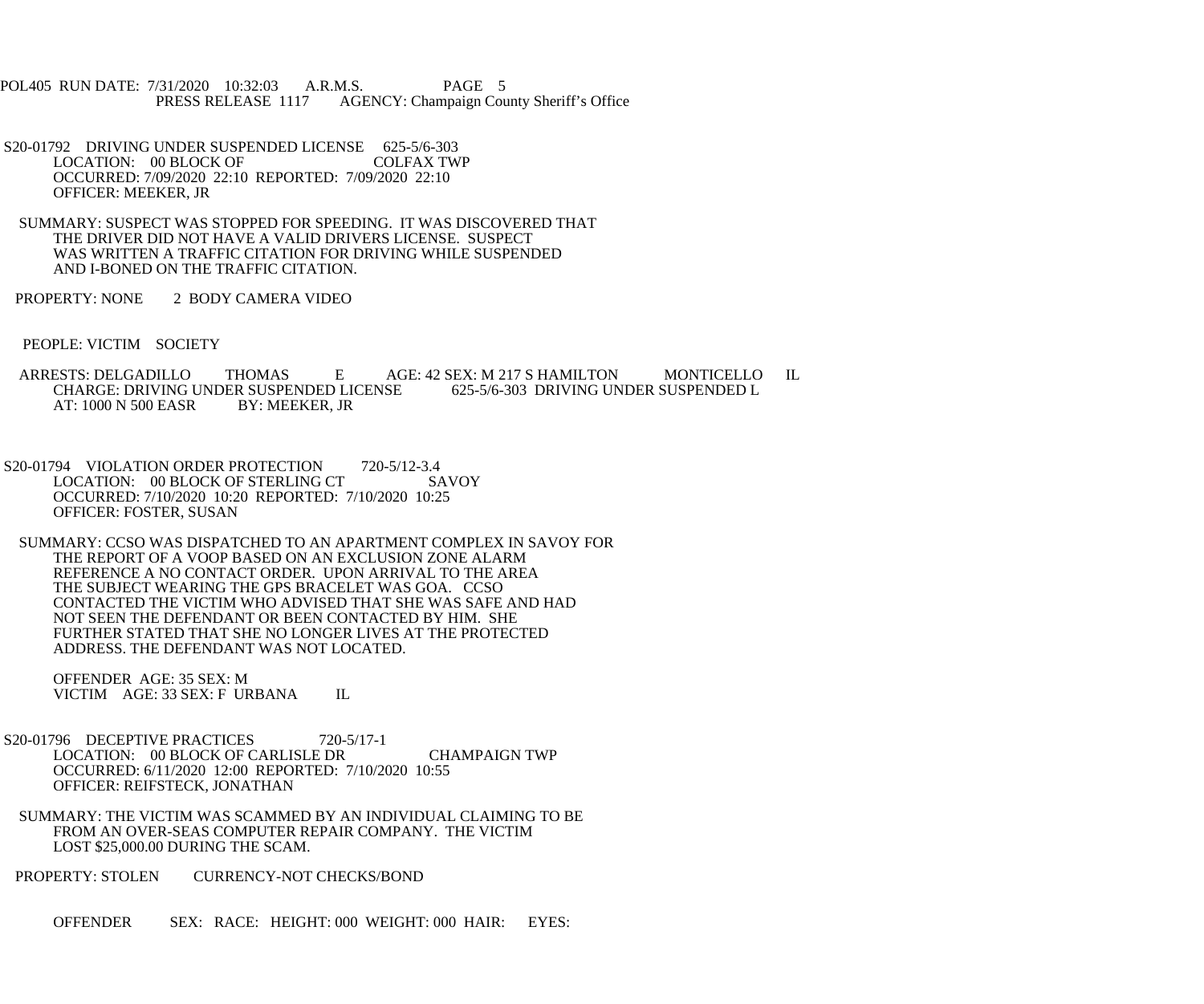POL405 RUN DATE: 7/31/2020 10:32:03 A.R.M.S. PAGE 5<br>PRESS RELEASE 1117 AGENCY: Champaign Cou AGENCY: Champaign County Sheriff's Office

- S20-01792 DRIVING UNDER SUSPENDED LICENSE 625-5/6-303<br>LOCATION: 00 BLOCK OF COLFAX TWP LOCATION: 00 BLOCK OF OCCURRED: 7/09/2020 22:10 REPORTED: 7/09/2020 22:10 OFFICER: MEEKER, JR
- SUMMARY: SUSPECT WAS STOPPED FOR SPEEDING. IT WAS DISCOVERED THAT THE DRIVER DID NOT HAVE A VALID DRIVERS LICENSE. SUSPECT WAS WRITTEN A TRAFFIC CITATION FOR DRIVING WHILE SUSPENDED AND I-BONED ON THE TRAFFIC CITATION.
- PROPERTY: NONE 2 BODY CAMERA VIDEO
- PEOPLE: VICTIM SOCIETY
- ARRESTS: DELGADILLO THOMAS E AGE: 42 SEX: M 217 S HAMILTON MONTICELLO IL CHARGE: DRIVING UNDER SUSPENDED LICENSE 625-5/6-303 DRIVING UNDER SUSPENDED L CHARGE: DRIVING UNDER SUSPENDED LICENSE<br>AT: 1000 N 500 EASR BY: MEEKER. JR AT: 1000 N 500 EASR
- S20-01794 VIOLATION ORDER PROTECTION 720-5/12-3.4 LOCATION: 00 BLOCK OF STERLING CT SAVOY OCCURRED: 7/10/2020 10:20 REPORTED: 7/10/2020 10:25 OFFICER: FOSTER, SUSAN
- SUMMARY: CCSO WAS DISPATCHED TO AN APARTMENT COMPLEX IN SAVOY FOR THE REPORT OF A VOOP BASED ON AN EXCLUSION ZONE ALARM REFERENCE A NO CONTACT ORDER. UPON ARRIVAL TO THE AREA THE SUBJECT WEARING THE GPS BRACELET WAS GOA. CCSO CONTACTED THE VICTIM WHO ADVISED THAT SHE WAS SAFE AND HAD NOT SEEN THE DEFENDANT OR BEEN CONTACTED BY HIM. SHE FURTHER STATED THAT SHE NO LONGER LIVES AT THE PROTECTED ADDRESS. THE DEFENDANT WAS NOT LOCATED.

 OFFENDER AGE: 35 SEX: M VICTIM AGE: 33 SEX: F URBANA IL

- S20-01796 DECEPTIVE PRACTICES 720-5/17-1 LOCATION: 00 BLOCK OF CARLISLE DR CHAMPAIGN TWP OCCURRED: 6/11/2020 12:00 REPORTED: 7/10/2020 10:55 OFFICER: REIFSTECK, JONATHAN
- SUMMARY: THE VICTIM WAS SCAMMED BY AN INDIVIDUAL CLAIMING TO BE FROM AN OVER-SEAS COMPUTER REPAIR COMPANY. THE VICTIM LOST \$25,000.00 DURING THE SCAM.
- PROPERTY: STOLEN CURRENCY-NOT CHECKS/BOND
	- OFFENDER SEX: RACE: HEIGHT: 000 WEIGHT: 000 HAIR: EYES: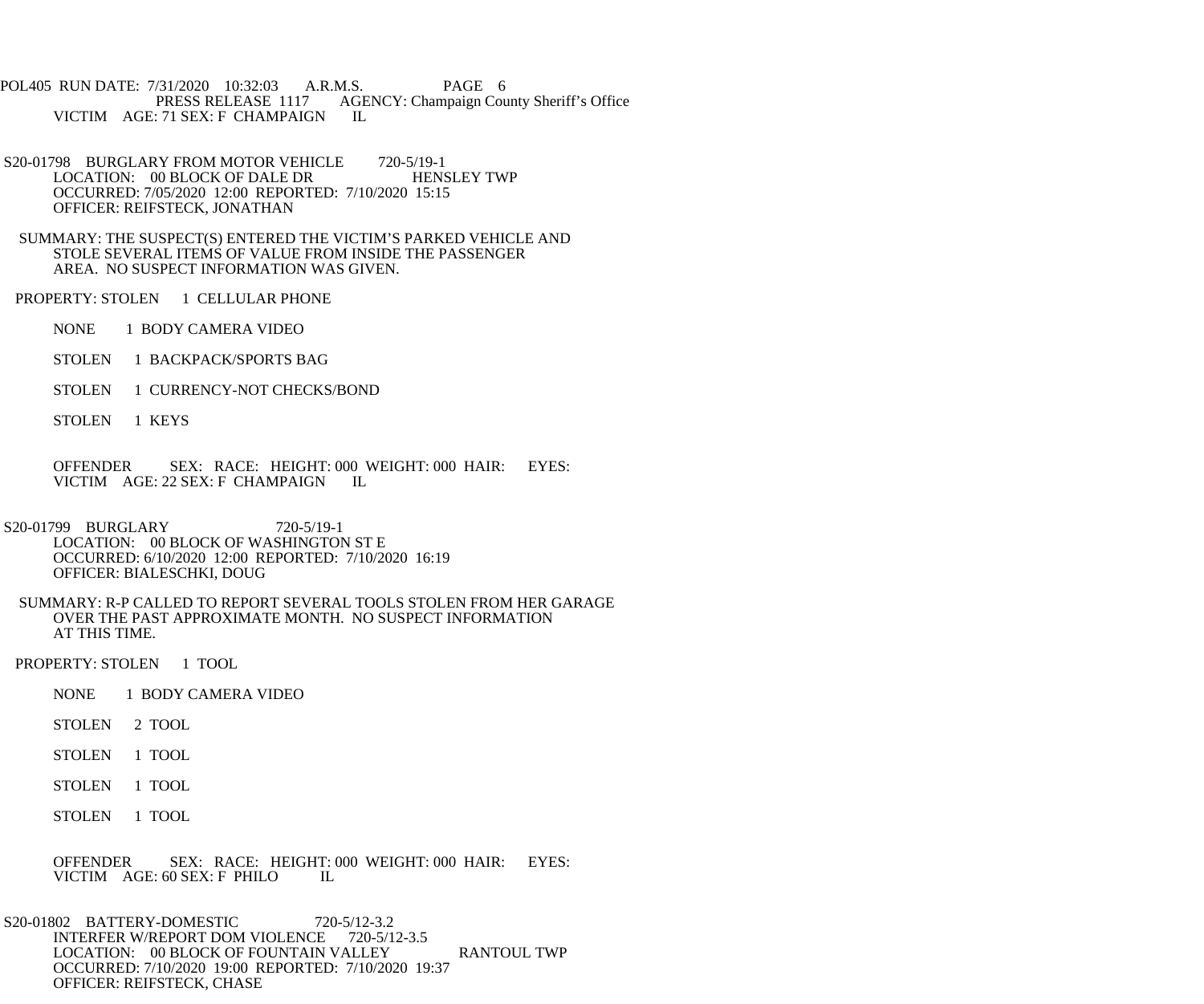POL405 RUN DATE: 7/31/2020 10:32:03 A.R.M.S. PAGE 6<br>PRESS RELEASE 1117 AGENCY: Champaign Cou AGENCY: Champaign County Sheriff's Office VICTIM AGE: 71 SEX: F CHAMPAIGN IL

- S20-01798 BURGLARY FROM MOTOR VEHICLE 720-5/19-1<br>LOCATION: 00 BLOCK OF DALE DR HENSLEY TWP LOCATION: 00 BLOCK OF DALE DR OCCURRED: 7/05/2020 12:00 REPORTED: 7/10/2020 15:15 OFFICER: REIFSTECK, JONATHAN
- SUMMARY: THE SUSPECT(S) ENTERED THE VICTIM'S PARKED VEHICLE AND STOLE SEVERAL ITEMS OF VALUE FROM INSIDE THE PASSENGER AREA. NO SUSPECT INFORMATION WAS GIVEN.
- PROPERTY: STOLEN 1 CELLULAR PHONE
	- NONE 1 BODY CAMERA VIDEO
	- STOLEN 1 BACKPACK/SPORTS BAG
	- STOLEN 1 CURRENCY-NOT CHECKS/BOND
	- STOLEN 1 KEYS
	- OFFENDER SEX: RACE: HEIGHT: 000 WEIGHT: 000 HAIR: EYES: VICTIM AGE: 22 SEX: F CHAMPAIGN IL
- S20-01799 BURGLARY 720-5/19-1 LOCATION: 00 BLOCK OF WASHINGTON ST E OCCURRED: 6/10/2020 12:00 REPORTED: 7/10/2020 16:19 OFFICER: BIALESCHKI, DOUG
	- SUMMARY: R-P CALLED TO REPORT SEVERAL TOOLS STOLEN FROM HER GARAGE OVER THE PAST APPROXIMATE MONTH. NO SUSPECT INFORMATION AT THIS TIME.
- PROPERTY: STOLEN 1 TOOL
	- NONE 1 BODY CAMERA VIDEO
	- STOLEN 2 TOOL
	- STOLEN 1 TOOL
	- STOLEN 1 TOOL
	- STOLEN 1 TOOL
	- OFFENDER SEX: RACE: HEIGHT: 000 WEIGHT: 000 HAIR: EYES: VICTIM AGE: 60 SEX: F PHILO VICTIM AGE: 60 SEX: F PHILO
- S20-01802 BATTERY-DOMESTIC 720-5/12-3.2 INTERFER W/REPORT DOM VIOLENCE 720-5/12-3.5 LOCATION: 00 BLOCK OF FOUNTAIN VALLEY RANTOUL TWP OCCURRED: 7/10/2020 19:00 REPORTED: 7/10/2020 19:37 OFFICER: REIFSTECK, CHASE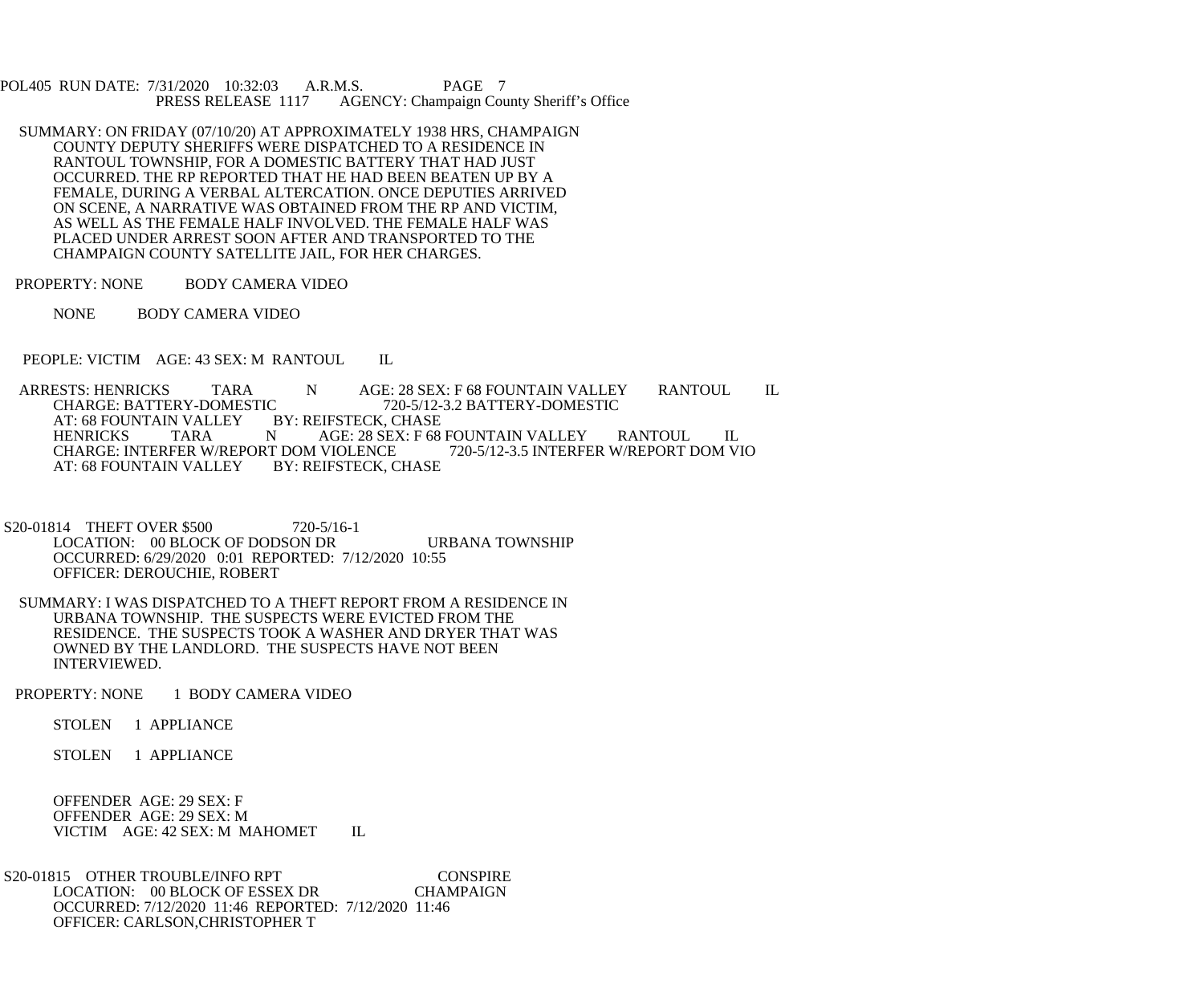POL405 RUN DATE: 7/31/2020 10:32:03 A.R.M.S. PAGE 7<br>PRESS RELEASE 1117 AGENCY: Champaign Cou AGENCY: Champaign County Sheriff's Office

- SUMMARY: ON FRIDAY (07/10/20) AT APPROXIMATELY 1938 HRS, CHAMPAIGN COUNTY DEPUTY SHERIFFS WERE DISPATCHED TO A RESIDENCE IN RANTOUL TOWNSHIP, FOR A DOMESTIC BATTERY THAT HAD JUST OCCURRED. THE RP REPORTED THAT HE HAD BEEN BEATEN UP BY A FEMALE, DURING A VERBAL ALTERCATION. ONCE DEPUTIES ARRIVED ON SCENE, A NARRATIVE WAS OBTAINED FROM THE RP AND VICTIM, AS WELL AS THE FEMALE HALF INVOLVED. THE FEMALE HALF WAS PLACED UNDER ARREST SOON AFTER AND TRANSPORTED TO THE CHAMPAIGN COUNTY SATELLITE JAIL, FOR HER CHARGES.
- PROPERTY: NONE BODY CAMERA VIDEO
	- NONE BODY CAMERA VIDEO
- PEOPLE: VICTIM AGE: 43 SEX: M RANTOUL IL
- ARRESTS: HENRICKS TARA N AGE: 28 SEX: F 68 FOUNTAIN VALLEY RANTOUL IL<br>CHARGE: BATTERY-DOMESTIC 720-5/12-3.2 BATTERY-DOMESTIC C 720-5/12-3.2 BATTERY-DOMESTIC<br>BY: REIFSTECK. CHASE AT: 68 FOUNTAIN VALLEY BY: REIFSTECK, CHASE TARA N AGE: 28 SEX: F 68 FOUNTAIN VALLEY RANTOUL IL<br>FER W/REPORT DOM VIOLENCE 720-5/12-3.5 INTERFER W/REPORT DOM VIO CHARGE: INTERFER W/REPORT DOM VIOLENCE<br>AT: 68 FOUNTAIN VALLEY BY: REIFSTECK, CHASE AT: 68 FOUNTAIN VALLEY
- S20-01814 THEFT OVER \$500 720-5/16-1 LOCATION: 00 BLOCK OF DODSON DR URBANA TOWNSHIP OCCURRED: 6/29/2020 0:01 REPORTED: 7/12/2020 10:55 OFFICER: DEROUCHIE, ROBERT
- SUMMARY: I WAS DISPATCHED TO A THEFT REPORT FROM A RESIDENCE IN URBANA TOWNSHIP. THE SUSPECTS WERE EVICTED FROM THE RESIDENCE. THE SUSPECTS TOOK A WASHER AND DRYER THAT WAS OWNED BY THE LANDLORD. THE SUSPECTS HAVE NOT BEEN INTERVIEWED.
- PROPERTY: NONE 1 BODY CAMERA VIDEO
	- STOLEN 1 APPLIANCE
	- STOLEN 1 APPLIANCE

 OFFENDER AGE: 29 SEX: F OFFENDER AGE: 29 SEX: M VICTIM AGE: 42 SEX: M MAHOMET IL

S20-01815 OTHER TROUBLE/INFO RPT CONSPIRE<br>LOCATION: 00 BLOCK OF ESSEX DR CHAMPAIGN LOCATION: 00 BLOCK OF ESSEX DR OCCURRED: 7/12/2020 11:46 REPORTED: 7/12/2020 11:46 OFFICER: CARLSON,CHRISTOPHER T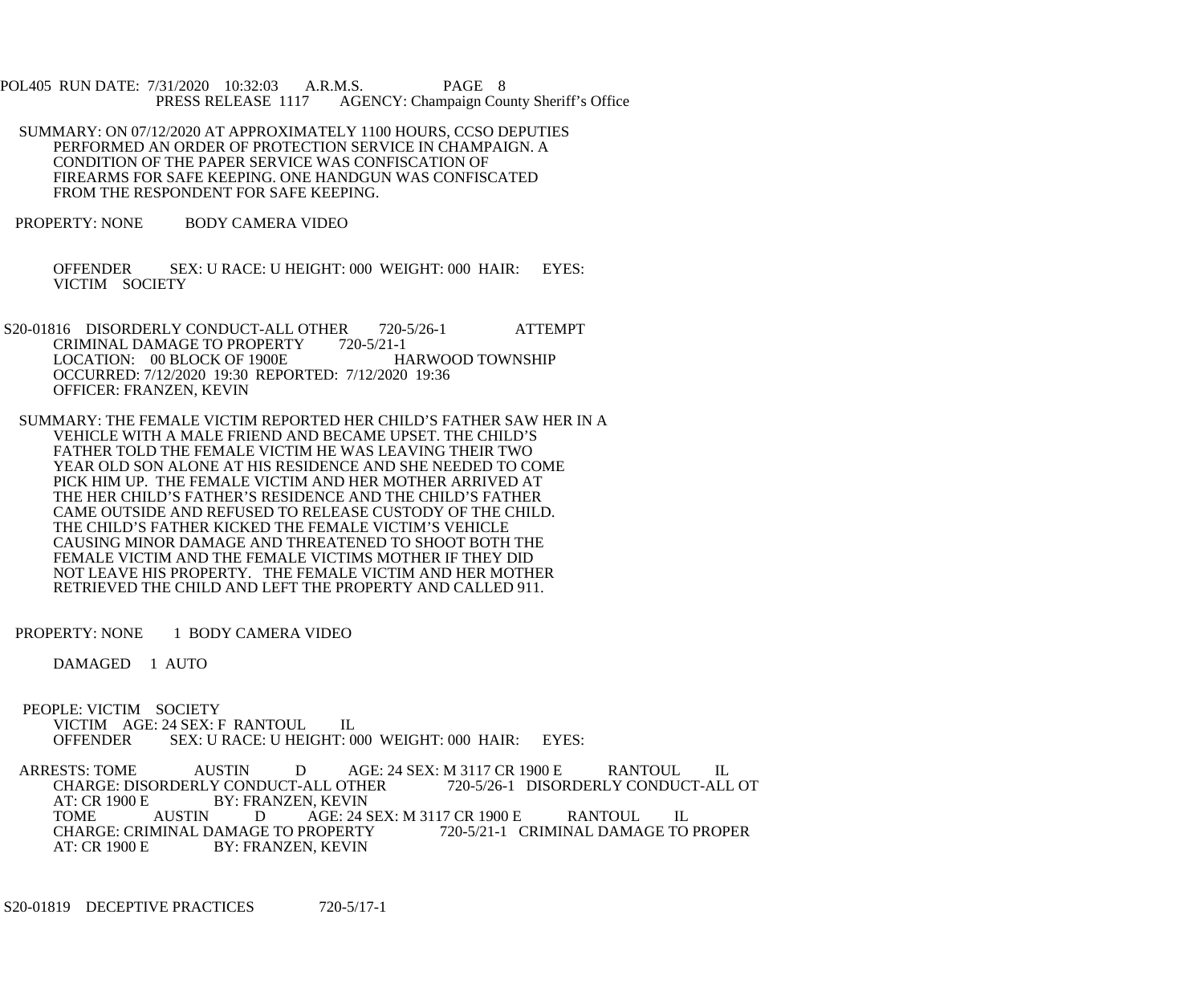POL405 RUN DATE: 7/31/2020 10:32:03 A.R.M.S. PAGE 8 PRESS RELEASE 1117 AGENCY: Champaign County Sheriff's Office

- SUMMARY: ON 07/12/2020 AT APPROXIMATELY 1100 HOURS, CCSO DEPUTIES PERFORMED AN ORDER OF PROTECTION SERVICE IN CHAMPAIGN. A CONDITION OF THE PAPER SERVICE WAS CONFISCATION OF FIREARMS FOR SAFE KEEPING. ONE HANDGUN WAS CONFISCATED FROM THE RESPONDENT FOR SAFE KEEPING.
- PROPERTY: NONE BODY CAMERA VIDEO

 OFFENDER SEX: U RACE: U HEIGHT: 000 WEIGHT: 000 HAIR: EYES: VICTIM SOCIETY

- S20-01816 DISORDERLY CONDUCT-ALL OTHER 720-5/26-1 ATTEMPT CRIMINAL DAMAGE TO PROPERTY 720-5/21-1 LOCATION: 00 BLOCK OF 1900E HARWOOD TOWNSHIP OCCURRED: 7/12/2020 19:30 REPORTED: 7/12/2020 19:36 OFFICER: FRANZEN, KEVIN
- SUMMARY: THE FEMALE VICTIM REPORTED HER CHILD'S FATHER SAW HER IN A VEHICLE WITH A MALE FRIEND AND BECAME UPSET. THE CHILD'S FATHER TOLD THE FEMALE VICTIM HE WAS LEAVING THEIR TWO YEAR OLD SON ALONE AT HIS RESIDENCE AND SHE NEEDED TO COME PICK HIM UP. THE FEMALE VICTIM AND HER MOTHER ARRIVED AT THE HER CHILD'S FATHER'S RESIDENCE AND THE CHILD'S FATHER CAME OUTSIDE AND REFUSED TO RELEASE CUSTODY OF THE CHILD. THE CHILD'S FATHER KICKED THE FEMALE VICTIM'S VEHICLE CAUSING MINOR DAMAGE AND THREATENED TO SHOOT BOTH THE FEMALE VICTIM AND THE FEMALE VICTIMS MOTHER IF THEY DID NOT LEAVE HIS PROPERTY. THE FEMALE VICTIM AND HER MOTHER RETRIEVED THE CHILD AND LEFT THE PROPERTY AND CALLED 911.
- PROPERTY: NONE 1 BODY CAMERA VIDEO

DAMAGED 1 AUTO

 PEOPLE: VICTIM SOCIETY VICTIM AGE: 24 SEX: F RANTOUL IL<br>OFFENDER SEX: U RACE: U HEIGHT: 0 SEX: U RACE: U HEIGHT: 000 WEIGHT: 000 HAIR: EYES:

ARRESTS: TOME AUSTIN DAGE: 24 SEX: M 3117 CR 1900 E RANTOUL IL<br>CHARGE: DISORDERLY CONDUCT-ALL OTHER 720-5/26-1 DISORDERLY CONDUCT-ALL OT CHARGE: DISORDERLY CONDUCT-ALL OTHER<br>AT: CR 1900 E BY: FRANZEN, KEVIN AT: CR 1900 E BY: FRANZEN, KEVIN<br>TOME AUSTIN DAGE: 24 S AGE: 24 SEX: M 3117 CR 1900 E RANTOUL IL<br>PROPERTY 720-5/21-1 CRIMINAL DAMAGE TO PROPER CHARGE: CRIMINAL DAMAGE TO PROPERTY<br>AT: CR 1900 E BY: FRANZEN, KEVIN BY: FRANZEN, KEVIN

S20-01819 DECEPTIVE PRACTICES 720-5/17-1